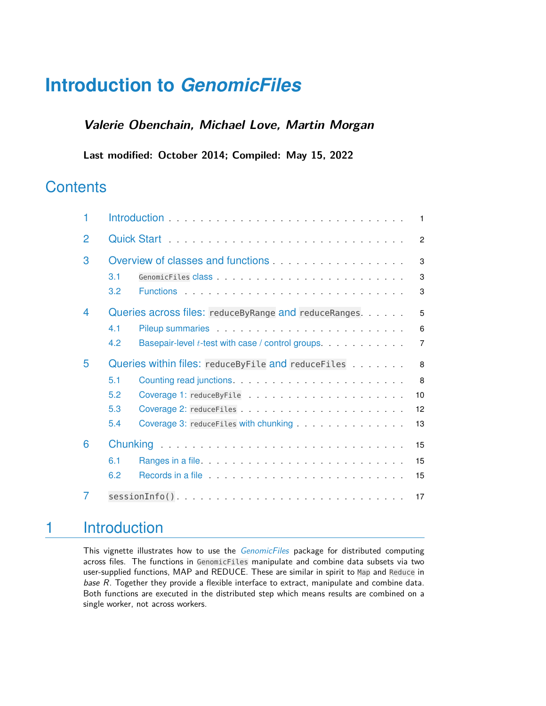# **Introduction to** *[GenomicFiles](http://bioconductor.org/packages/GenomicFiles)*

### **Valerie Obenchain, Michael Love, Martin Morgan**

**Last modified: October 2014; Compiled: May 15, 2022**

### **Contents**

| 1 | $\overline{1}$                                                                                                                                                                                                                             |
|---|--------------------------------------------------------------------------------------------------------------------------------------------------------------------------------------------------------------------------------------------|
| 2 | $\mathcal{P}$                                                                                                                                                                                                                              |
| 3 | Overview of classes and functions <b>COVERTIGATE:</b> National American control of the control of the control of the control of the control of the control of the control of the control of the control of the control of the contr<br>3   |
|   | 3<br>3.1                                                                                                                                                                                                                                   |
|   | 3.2<br>3                                                                                                                                                                                                                                   |
| 4 | Queries across files: reduceByRange and reduceRanges<br>5                                                                                                                                                                                  |
|   | Pileup summaries experience and the property of the property of the property of the property of the property of the property of the property of the property of the property of the property of the property of the property o<br>4.1<br>6 |
|   | 4.2<br>Basepair-level t-test with case / control groups<br>$\overline{7}$                                                                                                                                                                  |
| 5 | Queries within files: reduceByFile and reduceFiles<br>$\mathbf{8}$                                                                                                                                                                         |
|   | $\mathbf{8}$<br>5.1                                                                                                                                                                                                                        |
|   | 5.2<br>10                                                                                                                                                                                                                                  |
|   | 5.3<br>12                                                                                                                                                                                                                                  |
|   | Coverage 3: reduceFiles with chunking<br>5.4<br>13                                                                                                                                                                                         |
| 6 | 15                                                                                                                                                                                                                                         |
|   | 6.1<br>15                                                                                                                                                                                                                                  |
|   | 6.2<br>15                                                                                                                                                                                                                                  |
|   | 17                                                                                                                                                                                                                                         |

## <span id="page-0-0"></span>1 Introduction

This vignette illustrates how to use the *[GenomicFiles](http://bioconductor.org/packages/GenomicFiles)* package for distributed computing across files. The functions in GenomicFiles manipulate and combine data subsets via two user-supplied functions, MAP and REDUCE. These are similar in spirit to Map and Reduce in base R. Together they provide a flexible interface to extract, manipulate and combine data. Both functions are executed in the distributed step which means results are combined on a single worker, not across workers.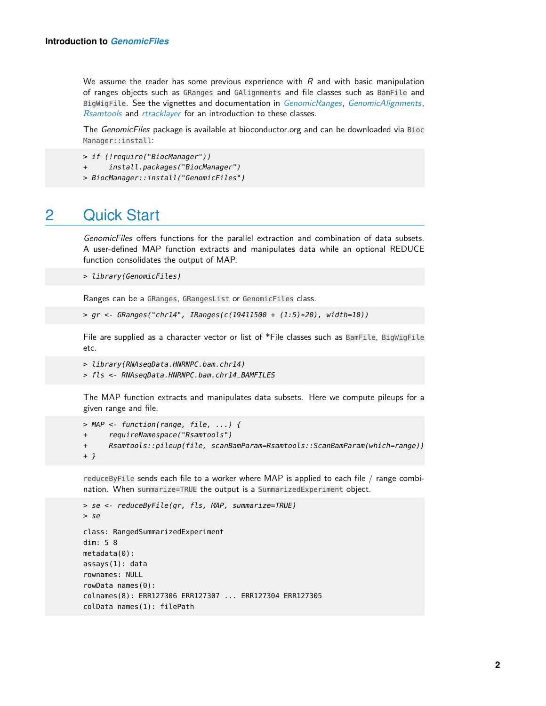We assume the reader has some previous experience with  $R$  and with basic manipulation of ranges objects such as GRanges and GAlignments and file classes such as BamFile and BigWigFile. See the vignettes and documentation in [GenomicRanges](http://bioconductor.org/packages/GenomicRanges), [GenomicAlignments](http://bioconductor.org/packages/GenomicAlignments), [Rsamtools](http://bioconductor.org/packages/Rsamtools) and [rtracklayer](http://bioconductor.org/packages/rtracklayer) for an introduction to these classes.

The GenomicFiles package is available at bioconductor.org and can be downloaded via Bioc Manager::install:

> if (!require("BiocManager"))

- + install.packages("BiocManager")
- <span id="page-1-0"></span>> BiocManager::install("GenomicFiles")

### 2 Quick Start

GenomicFiles offers functions for the parallel extraction and combination of data subsets. A user-defined MAP function extracts and manipulates data while an optional REDUCE function consolidates the output of MAP.

```
> library(GenomicFiles)
```
Ranges can be a GRanges, GRangesList or GenomicFiles class.

 $> q$ r <- GRanges("chr14", IRanges(c(19411500 + (1:5)\*20), width=10))

File are supplied as a character vector or list of \*File classes such as BamFile, BigWigFile etc.

```
> library(RNAseqData.HNRNPC.bam.chr14)
```

```
> fls <- RNAseqData.HNRNPC.bam.chr14_BAMFILES
```
The MAP function extracts and manipulates data subsets. Here we compute pileups for a given range and file.

```
> MAP <- function(range, file, ...) {
+ requireNamespace("Rsamtools")
+ Rsamtools::pileup(file, scanBamParam=Rsamtools::ScanBamParam(which=range))
+ }
```
reduceByFile sends each file to a worker where MAP is applied to each file / range combination. When summarize=TRUE the output is a SummarizedExperiment object.

```
> se <- reduceByFile(gr, fls, MAP, summarize=TRUE)
> se
class: RangedSummarizedExperiment
dim: 5 8
metadata(0):
assays(1): data
rownames: NULL
rowData names(0):
colnames(8): ERR127306 ERR127307 ... ERR127304 ERR127305
colData names(1): filePath
```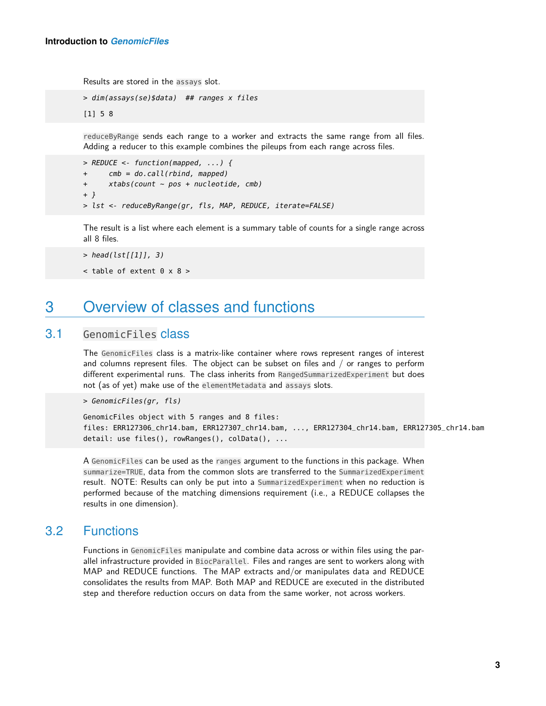Results are stored in the assays slot.

```
> dim(assays(se)$data) ## ranges x files
[1] 5 8
```
reduceByRange sends each range to a worker and extracts the same range from all files. Adding a reducer to this example combines the pileups from each range across files.

```
> REDUCE <- function(mapped, ...) {
+ cmb = do.call(rbind, mapped)
+ xtabs(count ~ pos + nucleotide, cmb)
+ }
> lst <- reduceByRange(gr, fls, MAP, REDUCE, iterate=FALSE)
```
The result is a list where each element is a summary table of counts for a single range across all 8 files.

```
> head(lst[[1]], 3)
```

```
\lt table of extent 0 \times 8 >
```
### 3 Overview of classes and functions

#### 3.1 GenomicFiles class

<span id="page-2-1"></span>The GenomicFiles class is a matrix-like container where rows represent ranges of interest and columns represent files. The object can be subset on files and / or ranges to perform different experimental runs. The class inherits from RangedSummarizedExperiment but does not (as of yet) make use of the elementMetadata and assays slots.

> GenomicFiles(gr, fls)

GenomicFiles object with 5 ranges and 8 files: files: ERR127306\_chr14.bam, ERR127307\_chr14.bam, ..., ERR127304\_chr14.bam, ERR127305\_chr14.bam detail: use files(), rowRanges(), colData(), ...

A GenomicFiles can be used as the ranges argument to the functions in this package. When summarize=TRUE, data from the common slots are transferred to the SummarizedExperiment result. NOTE: Results can only be put into a SummarizedExperiment when no reduction is performed because of the matching dimensions requirement (i.e., a REDUCE collapses the results in one dimension).

### 3.2 Functions

<span id="page-2-2"></span>Functions in GenomicFiles manipulate and combine data across or within files using the parallel infrastructure provided in BiocParallel. Files and ranges are sent to workers along with MAP and REDUCE functions. The MAP extracts and/or manipulates data and REDUCE consolidates the results from MAP. Both MAP and REDUCE are executed in the distributed step and therefore reduction occurs on data from the same worker, not across workers.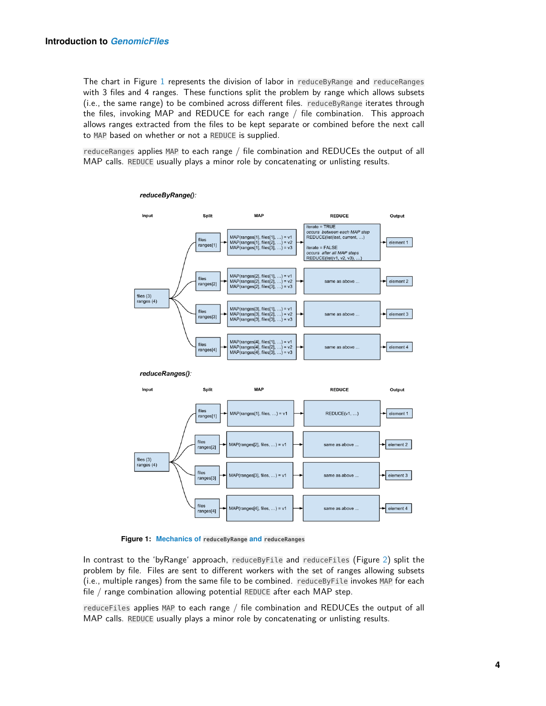The chart in Figure [1](#page-3-0) represents the division of labor in reduceByRange and reduceRanges with 3 files and 4 ranges. These functions split the problem by range which allows subsets (i.e., the same range) to be combined across different files. reduceByRange iterates through the files, invoking MAP and REDUCE for each range / file combination. This approach allows ranges extracted from the files to be kept separate or combined before the next call to MAP based on whether or not a REDUCE is supplied.

<span id="page-3-0"></span>reduceRanges applies MAP to each range / file combination and REDUCEs the output of all MAP calls. REDUCE usually plays a minor role by concatenating or unlisting results.



reduceByRange():

**Figure 1: Mechanics of reduceByRange and reduceRanges**

In contrast to the 'byRange' approach, reduceByFile and reduceFiles (Figure [2\)](#page-4-1) split the problem by file. Files are sent to different workers with the set of ranges allowing subsets (i.e., multiple ranges) from the same file to be combined. reduceByFile invokes MAP for each file / range combination allowing potential REDUCE after each MAP step.

reduceFiles applies MAP to each range / file combination and REDUCEs the output of all MAP calls. REDUCE usually plays a minor role by concatenating or unlisting results.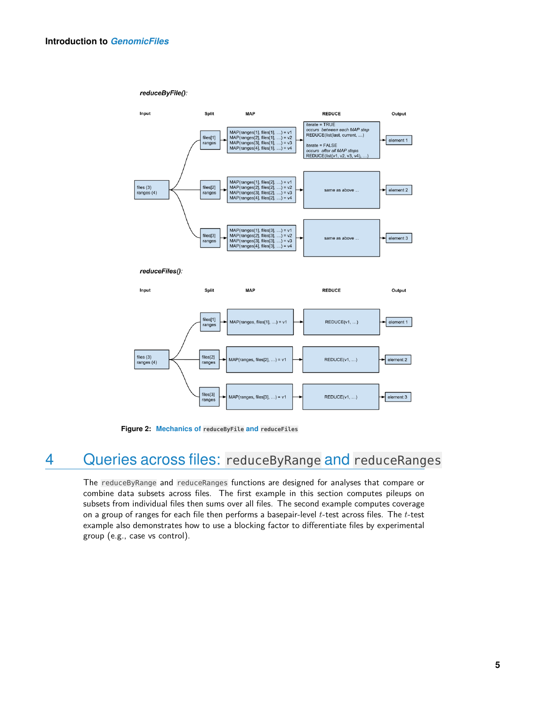#### reduceByFile():

<span id="page-4-1"></span>

**Figure 2: Mechanics of reduceByFile and reduceFiles**

## 4 Queries across files: reduceByRange and reduceRanges

<span id="page-4-0"></span>The reduceByRange and reduceRanges functions are designed for analyses that compare or combine data subsets across files. The first example in this section computes pileups on subsets from individual files then sums over all files. The second example computes coverage on a group of ranges for each file then performs a basepair-level  $t$ -test across files. The  $t$ -test example also demonstrates how to use a blocking factor to differentiate files by experimental group (e.g., case vs control).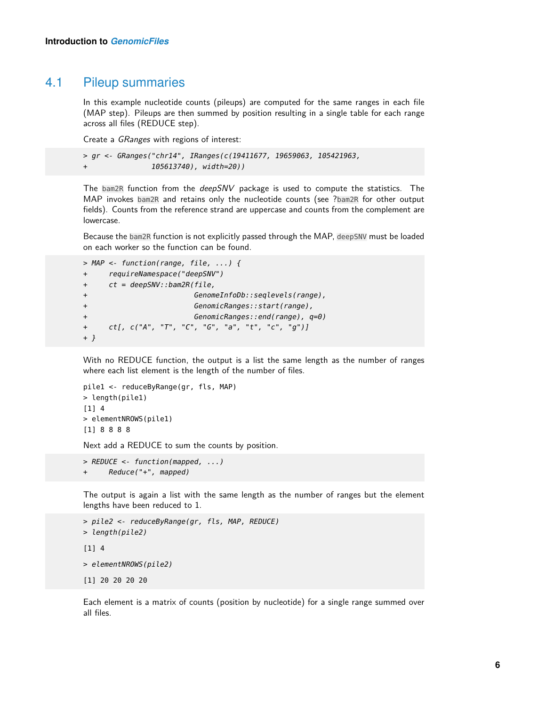### 4.1 Pileup summaries

<span id="page-5-0"></span>In this example nucleotide counts (pileups) are computed for the same ranges in each file (MAP step). Pileups are then summed by position resulting in a single table for each range across all files (REDUCE step).

Create a GRanges with regions of interest:

```
> gr <- GRanges("chr14", IRanges(c(19411677, 19659063, 105421963,
                105613740), width=20))
```
The bam2R function from the deepSNV package is used to compute the statistics. The MAP invokes bam2R and retains only the nucleotide counts (see ?bam2R for other output fields). Counts from the reference strand are uppercase and counts from the complement are lowercase.

Because the bam2R function is not explicitly passed through the MAP, deepSNV must be loaded on each worker so the function can be found.

```
> MAP <- function(range, file, ...) {
+ requireNamespace("deepSNV")
+ ct = deepSNV::bam2R(file,
+ GenomeInfoDb::seqlevels(range),
+ GenomicRanges::start(range),
+ GenomicRanges::end(range), q=0)
+ ct[, c("A", "T", "C", "G", "a", "t", "c", "g")]
+ }
```
With no REDUCE function, the output is a list the same length as the number of ranges where each list element is the length of the number of files.

```
pile1 <- reduceByRange(gr, fls, MAP)
> length(pile1)
[1] 4
> elementNROWS(pile1)
[1] 8 8 8 8
```
Next add a REDUCE to sum the counts by position.

```
> REDUCE <- function(mapped, ...)
+ Reduce("+", mapped)
```
The output is again a list with the same length as the number of ranges but the element lengths have been reduced to 1.

```
> pile2 <- reduceByRange(gr, fls, MAP, REDUCE)
> length(pile2)
[1] 4
> elementNROWS(pile2)
[1] 20 20 20 20
```
Each element is a matrix of counts (position by nucleotide) for a single range summed over all files.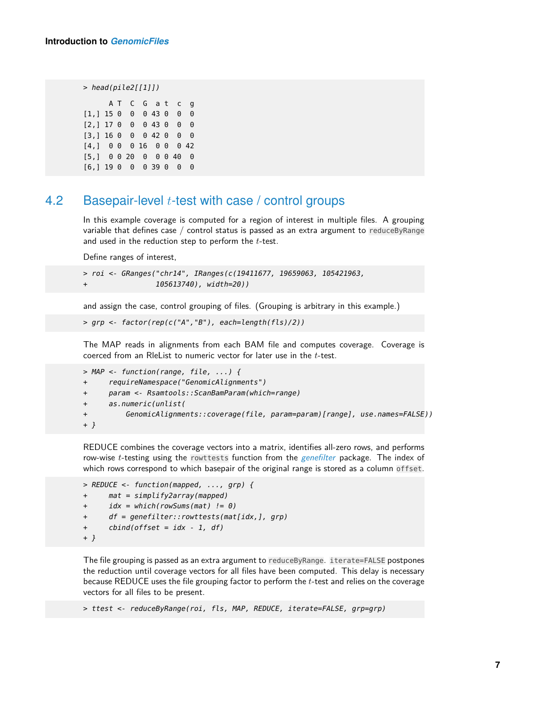```
> head(pile2[[1]])
```
A T C G a t c g [1,] 15 0 0 0 43 0 0 0 [2,] 17 0 0 0 43 0 0 0 [3,] 16 0 0 0 42 0 0 0 [4,] 0 0 0 16 0 0 0 42 [5,] 0 0 20 0 0 0 40 0 [6,] 19 0 0 0 39 0 0 0

#### 4.2 Basepair-level  $t$ -test with case / control groups

<span id="page-6-0"></span>In this example coverage is computed for a region of interest in multiple files. A grouping variable that defines case  $/$  control status is passed as an extra argument to reduceByRange and used in the reduction step to perform the  $t$ -test.

Define ranges of interest,

```
> roi <- GRanges("chr14", IRanges(c(19411677, 19659063, 105421963,
+ 105613740), width=20))
```
and assign the case, control grouping of files. (Grouping is arbitrary in this example.)

```
> grp <- factor(rep(c("A","B"), each=length(fls)/2))
```
The MAP reads in alignments from each BAM file and computes coverage. Coverage is coerced from an RleList to numeric vector for later use in the t-test.

```
> MAP <- function(range, file, ...) {
+ requireNamespace("GenomicAlignments")
+ param <- Rsamtools::ScanBamParam(which=range)
+ as.numeric(unlist(
+ GenomicAlignments::coverage(file, param=param)[range], use.names=FALSE))
+ }
```
REDUCE combines the coverage vectors into a matrix, identifies all-zero rows, and performs row-wise  $t$ -testing using the rowttests function from the  $gen$ efilter package. The index of which rows correspond to which basepair of the original range is stored as a column offset.

```
> REDUCE <- function(mapped, ..., grp) {
+ mat = simplify2array(mapped)
+ idx = which(rowSums(mat) != 0)
+ df = genefilter::rowttests(mat[idx,], grp)
+ cbind(offset = idx - 1, df)
+ }
```
The file grouping is passed as an extra argument to reduceByRange. iterate=FALSE postpones the reduction until coverage vectors for all files have been computed. This delay is necessary because REDUCE uses the file grouping factor to perform the t-test and relies on the coverage vectors for all files to be present.

> ttest <- reduceByRange(roi, fls, MAP, REDUCE, iterate=FALSE, grp=grp)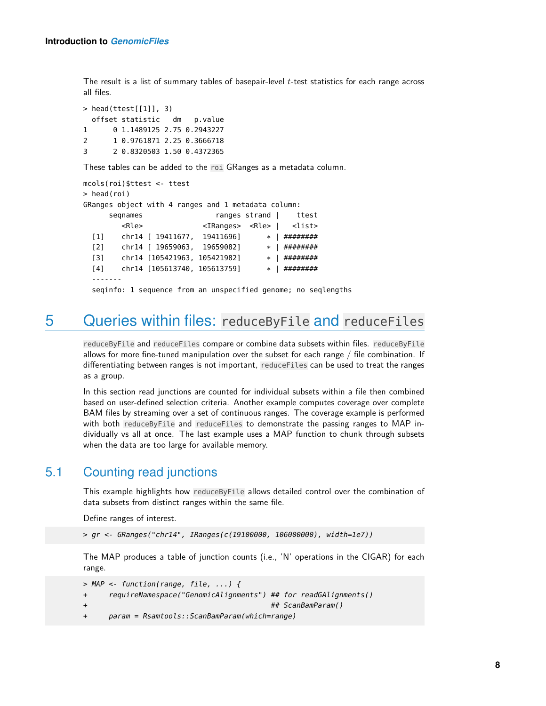The result is a list of summary tables of basepair-level  $t$ -test statistics for each range across all files.

> head(ttest[[1]], 3) offset statistic dm p.value 1 0 1.1489125 2.75 0.2943227 2 1 0.9761871 2.25 0.3666718 3 2 0.8320503 1.50 0.4372365

These tables can be added to the roi GRanges as a metadata column.

```
mcols(roi)$ttest <- ttest
> head(roi)
GRanges object with 4 ranges and 1 metadata column:
     seqnames ranges strand | ttest
       <Rle> <IRanges> <Rle> | <list>
 [1] chr14 [ 19411677, 19411696] * | ########
 [2] chr14 [ 19659063, 19659082] * | ########
 [3] chr14 [105421963, 105421982] * | ########
 [4] chr14 [105613740, 105613759] * | ########
 -------
 seqinfo: 1 sequence from an unspecified genome; no seqlengths
```
### <span id="page-7-0"></span>5 Queries within files: reduceByFile and reduceFiles

reduceByFile and reduceFiles compare or combine data subsets within files. reduceByFile allows for more fine-tuned manipulation over the subset for each range / file combination. If differentiating between ranges is not important, reduceFiles can be used to treat the ranges as a group.

In this section read junctions are counted for individual subsets within a file then combined based on user-defined selection criteria. Another example computes coverage over complete BAM files by streaming over a set of continuous ranges. The coverage example is performed with both reduceByFile and reduceFiles to demonstrate the passing ranges to MAP individually vs all at once. The last example uses a MAP function to chunk through subsets when the data are too large for available memory.

### 5.1 Counting read junctions

<span id="page-7-1"></span>This example highlights how reduceByFile allows detailed control over the combination of data subsets from distinct ranges within the same file.

Define ranges of interest.

> gr <- GRanges("chr14", IRanges(c(19100000, 106000000), width=1e7))

The MAP produces a table of junction counts (i.e., 'N' operations in the CIGAR) for each range.

```
> MAP <- function(range, file, ...) {
+ requireNamespace("GenomicAlignments") ## for readGAlignments()
+ ## ScanBamParam()
+ param = Rsamtools::ScanBamParam(which=range)
```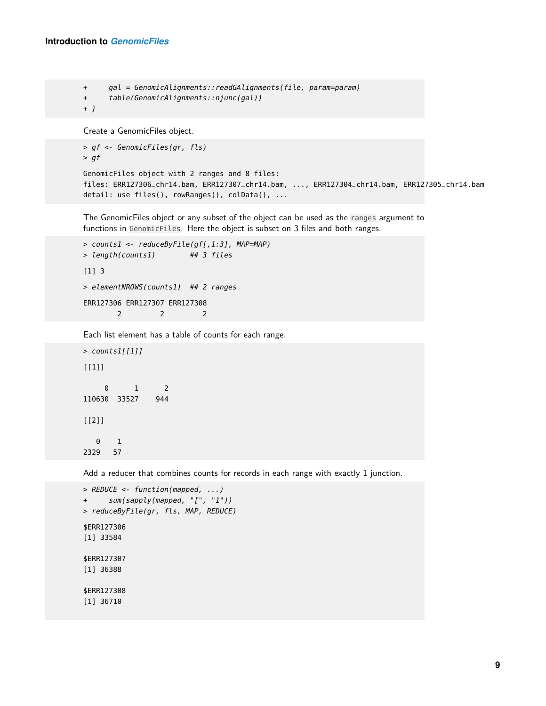```
+ gal = GenomicAlignments::readGAlignments(file, param=param)
+ table(GenomicAlignments::njunc(gal))
+ }
Create a GenomicFiles object.
> gf <- GenomicFiles(gr, fls)
> gf
```

```
GenomicFiles object with 2 ranges and 8 files:
files: ERR127306_chr14.bam, ERR127307_chr14.bam, ..., ERR127304_chr14.bam, ERR127305_chr14.bam
detail: use files(), rowRanges(), colData(), ...
```
The GenomicFiles object or any subset of the object can be used as the ranges argument to functions in GenomicFiles. Here the object is subset on 3 files and both ranges.

```
> counts1 <- reduceByFile(gf[,1:3], MAP=MAP)
> length(counts1) ## 3 files
[1] 3
> elementNROWS(counts1) ## 2 ranges
ERR127306 ERR127307 ERR127308
       2 2 2
```
Each list element has a table of counts for each range.

```
> counts1[[1]]
[1]]
    0 1 2
110630 33527 944
[[2]]
  0 1
2329 57
```
Add a reducer that combines counts for records in each range with exactly 1 junction.

```
> REDUCE <- function(mapped, ...)
+ sum(sapply(mapped, "[", "1"))
> reduceByFile(gr, fls, MAP, REDUCE)
$ERR127306
[1] 33584
$ERR127307
[1] 36388
$ERR127308
[1] 36710
```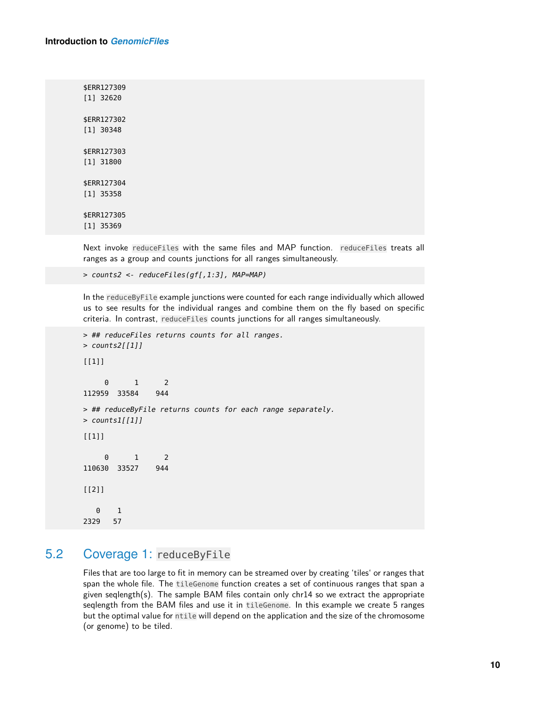#### **Introduction to** *[GenomicFiles](http://bioconductor.org/packages/GenomicFiles)*

\$ERR127309 [1] 32620 \$ERR127302 [1] 30348 \$ERR127303 [1] 31800 \$ERR127304 [1] 35358 \$ERR127305 [1] 35369

Next invoke reduceFiles with the same files and MAP function. reduceFiles treats all ranges as a group and counts junctions for all ranges simultaneously.

> counts2 <- reduceFiles(gf[,1:3], MAP=MAP)

In the reduceByFile example junctions were counted for each range individually which allowed us to see results for the individual ranges and combine them on the fly based on specific criteria. In contrast, reduceFiles counts junctions for all ranges simultaneously.

```
> ## reduceFiles returns counts for all ranges.
> counts2[[1]]
[[1]]
    0 1 2
112959 33584 944
> ## reduceByFile returns counts for each range separately.
> counts1[[1]]
[[1]]
    0 1 2
110630 33527 944
[[2]]
  0 1
2329 57
```
#### 5.2 Coverage 1: reduceByFile

<span id="page-9-0"></span>Files that are too large to fit in memory can be streamed over by creating 'tiles' or ranges that span the whole file. The tileGenome function creates a set of continuous ranges that span a given seqlength(s). The sample BAM files contain only chr14 so we extract the appropriate seqlength from the BAM files and use it in tileGenome. In this example we create 5 ranges but the optimal value for ntile will depend on the application and the size of the chromosome (or genome) to be tiled.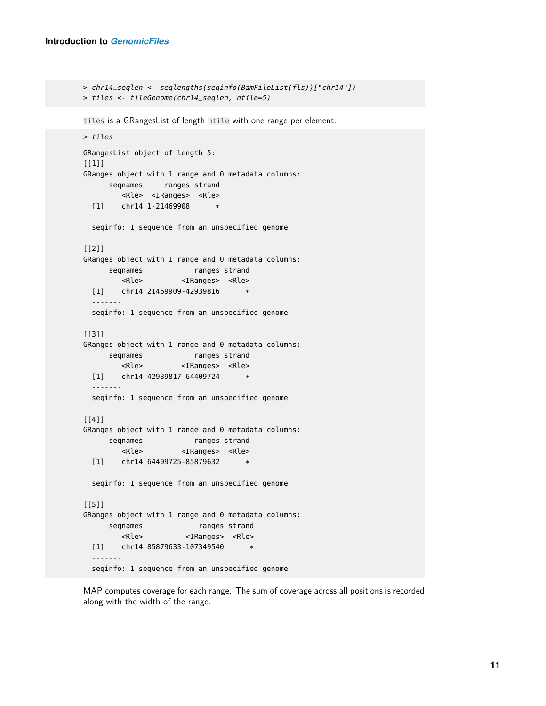```
> chr14_seqlen <- seqlengths(seqinfo(BamFileList(fls))["chr14"])
> tiles <- tileGenome(chr14_seqlen, ntile=5)
tiles is a GRangesList of length ntile with one range per element.
> tiles
GRangesList object of length 5:
[1]]
GRanges object with 1 range and 0 metadata columns:
     seqnames ranges strand
       <Rle> <IRanges> <Rle>
  [1] chr14 1-21469908 *
  -------
  seqinfo: 1 sequence from an unspecified genome
[[2]]
GRanges object with 1 range and 0 metadata columns:
     seqnames ranges strand
        <Rle> <IRanges> <Rle>
  [1] chr14 21469909-42939816
  -------
  seqinfo: 1 sequence from an unspecified genome
[[3]]
GRanges object with 1 range and 0 metadata columns:
     seqnames ranges strand
       <Rle> <IRanges> <Rle>
  [1] chr14 42939817-64409724 *
  -------
  seqinfo: 1 sequence from an unspecified genome
[[4]]
GRanges object with 1 range and 0 metadata columns:
     seqnames ranges strand
        <Rle> <IRanges> <Rle>
  [1] chr14 64409725-85879632 *
  -------
  seqinfo: 1 sequence from an unspecified genome
[[5]]
GRanges object with 1 range and 0 metadata columns:
     seqnames ranges strand
       <Rle> <IRanges> <Rle>
  [1] chr14 85879633-107349540 *
  -------
  seqinfo: 1 sequence from an unspecified genome
```
MAP computes coverage for each range. The sum of coverage across all positions is recorded along with the width of the range.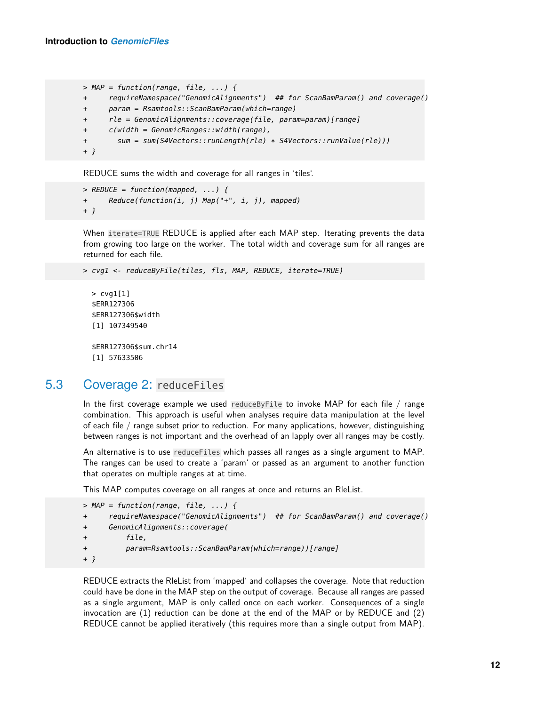```
> MAP = function(range, file, ...) {
+ requireNamespace("GenomicAlignments") ## for ScanBamParam() and coverage()
+ param = Rsamtools::ScanBamParam(which=range)
+ rle = GenomicAlignments::coverage(file, param=param)[range]
+ c(width = GenomicRanges::width(range),
+ sum = sum(S4Vectors::runLength(rle) * S4Vectors::runValue(rle)))
+ }
```
REDUCE sums the width and coverage for all ranges in 'tiles'.

```
> REDUCE = function(mapped, ...) {
+ Reduce(function(i, j) Map("+", i, j), mapped)
+ }
```
When iterate=TRUE REDUCE is applied after each MAP step. Iterating prevents the data from growing too large on the worker. The total width and coverage sum for all ranges are returned for each file.

```
> cvg1 <- reduceByFile(tiles, fls, MAP, REDUCE, iterate=TRUE)
```

```
> cvg1[1]
$ERR127306
$ERR127306$width
[1] 107349540
$ERR127306$sum.chr14
[1] 57633506
```
#### 5.3 Coverage 2: reduceFiles

<span id="page-11-0"></span>In the first coverage example we used reduceByFile to invoke MAP for each file / range combination. This approach is useful when analyses require data manipulation at the level of each file / range subset prior to reduction. For many applications, however, distinguishing between ranges is not important and the overhead of an lapply over all ranges may be costly.

An alternative is to use reduceFiles which passes all ranges as a single argument to MAP. The ranges can be used to create a 'param' or passed as an argument to another function that operates on multiple ranges at at time.

This MAP computes coverage on all ranges at once and returns an RleList.

```
> MAP = function(range, file, ...) {
+ requireNamespace("GenomicAlignments") ## for ScanBamParam() and coverage()
+ GenomicAlignments::coverage(
+ file,
+ param=Rsamtools::ScanBamParam(which=range))[range]
+ }
```
REDUCE extracts the RleList from 'mapped' and collapses the coverage. Note that reduction could have be done in the MAP step on the output of coverage. Because all ranges are passed as a single argument, MAP is only called once on each worker. Consequences of a single invocation are (1) reduction can be done at the end of the MAP or by REDUCE and (2) REDUCE cannot be applied iteratively (this requires more than a single output from MAP).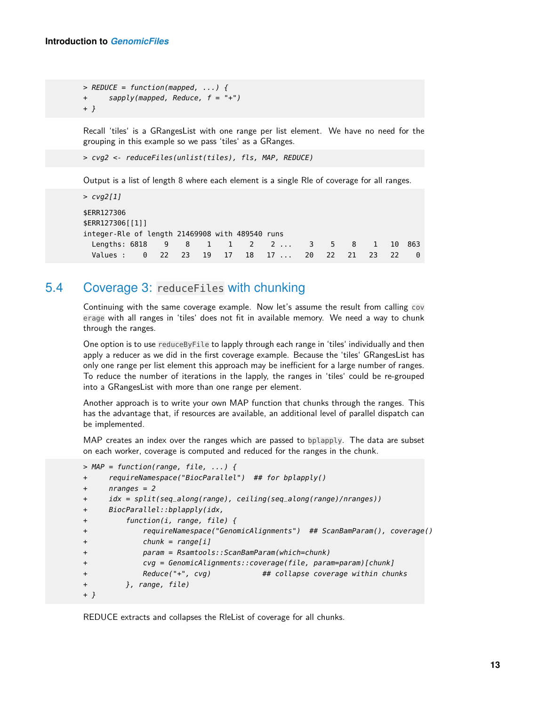> REDUCE = function(mapped, ...) { + sapply(mapped, Reduce, f = "+") + }

Recall 'tiles' is a GRangesList with one range per list element. We have no need for the grouping in this example so we pass 'tiles' as a GRanges.

```
> cvg2 <- reduceFiles(unlist(tiles), fls, MAP, REDUCE)
```
Output is a list of length 8 where each element is a single Rle of coverage for all ranges.

```
> cvg2[1]
$ERR127306
$ERR127306[[1]]
integer-Rle of length 21469908 with 489540 runs
 Lengths: 6818 9 8 1 1 2 2 ... 3 5 8 1 10 863
 Values : 0 22 23 19 17 18 17 ... 20 22 21 23 22 0
```
### 5.4 Coverage 3: reduceFiles with chunking

<span id="page-12-0"></span>Continuing with the same coverage example. Now let's assume the result from calling cov erage with all ranges in 'tiles' does not fit in available memory. We need a way to chunk through the ranges.

One option is to use reduceByFile to lapply through each range in 'tiles' individually and then apply a reducer as we did in the first coverage example. Because the 'tiles' GRangesList has only one range per list element this approach may be inefficient for a large number of ranges. To reduce the number of iterations in the lapply, the ranges in 'tiles' could be re-grouped into a GRangesList with more than one range per element.

Another approach is to write your own MAP function that chunks through the ranges. This has the advantage that, if resources are available, an additional level of parallel dispatch can be implemented.

MAP creates an index over the ranges which are passed to bplapply. The data are subset on each worker, coverage is computed and reduced for the ranges in the chunk.

```
> MAP = function(range, file, ...) {
+ requireNamespace("BiocParallel") ## for bplapply()
+ nranges = 2
+ idx = split(seq_along(range), ceiling(seq_along(range)/nranges))
+ BiocParallel::bplapply(idx,
+ function(i, range, file) {
+ requireNamespace("GenomicAlignments") ## ScanBamParam(), coverage()
+ chunk = range[i]
+ param = Rsamtools::ScanBamParam(which=chunk)
+ cvg = GenomicAlignments::coverage(file, param=param)[chunk]
+ Reduce("+", cvg) ## collapse coverage within chunks
+ }, range, file)
+ }
```
REDUCE extracts and collapses the RleList of coverage for all chunks.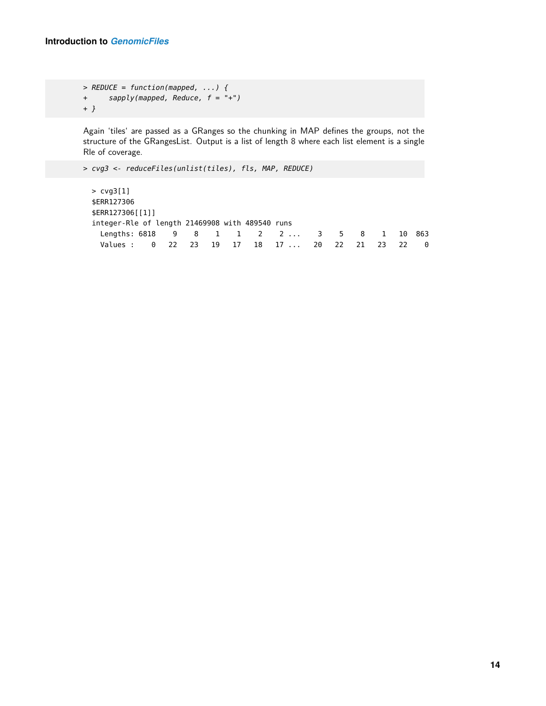> REDUCE = function(mapped, ...) { + sapply(mapped, Reduce, f = "+") + }

Again 'tiles' are passed as a GRanges so the chunking in MAP defines the groups, not the structure of the GRangesList. Output is a list of length 8 where each list element is a single Rle of coverage.

> cvg3 <- reduceFiles(unlist(tiles), fls, MAP, REDUCE)

```
> cvg3[1]
$ERR127306
$ERR127306[[1]]
integer-Rle of length 21469908 with 489540 runs
 Lengths: 6818 9 8 1 1 2 2 ... 3 5 8 1 10 863
 Values : 0 22 23 19 17 18 17 ... 20 22 21 23 22 0
```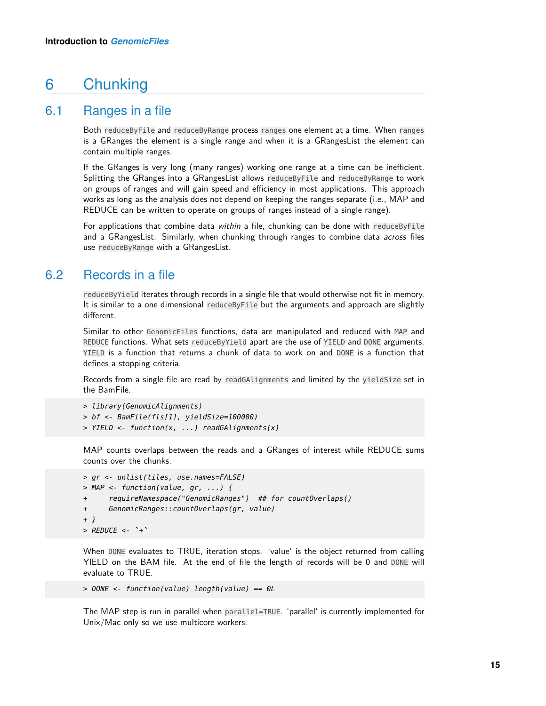### <span id="page-14-0"></span>6 Chunking

#### 6.1 Ranges in a file

<span id="page-14-1"></span>Both reduceByFile and reduceByRange process ranges one element at a time. When ranges is a GRanges the element is a single range and when it is a GRangesList the element can contain multiple ranges.

If the GRanges is very long (many ranges) working one range at a time can be inefficient. Splitting the GRanges into a GRangesList allows reduceByFile and reduceByRange to work on groups of ranges and will gain speed and efficiency in most applications. This approach works as long as the analysis does not depend on keeping the ranges separate (i.e., MAP and REDUCE can be written to operate on groups of ranges instead of a single range).

<span id="page-14-2"></span>For applications that combine data within a file, chunking can be done with reduceByFile and a GRangesList. Similarly, when chunking through ranges to combine data *across* files use reduceByRange with a GRangesList.

#### 6.2 Records in a file

reduceByYield iterates through records in a single file that would otherwise not fit in memory. It is similar to a one dimensional reduceByFile but the arguments and approach are slightly different.

Similar to other GenomicFiles functions, data are manipulated and reduced with MAP and REDUCE functions. What sets reduceByYield apart are the use of YIELD and DONE arguments. YIELD is a function that returns a chunk of data to work on and DONE is a function that defines a stopping criteria.

Records from a single file are read by readGAlignments and limited by the yieldSize set in the BamFile.

```
> library(GenomicAlignments)
> bf <- BamFile(fls[1], yieldSize=100000)
> YIELD <- function(x, ...) readGAlignments(x)
```
MAP counts overlaps between the reads and a GRanges of interest while REDUCE sums counts over the chunks.

```
> gr <- unlist(tiles, use.names=FALSE)
> MAP <- function(value, gr, ...) {
      + requireNamespace("GenomicRanges") ## for countOverlaps()
+ GenomicRanges::countOverlaps(gr, value)
+ }
> REDUCE \leq - +
```
When DONE evaluates to TRUE, iteration stops. 'value' is the object returned from calling YIELD on the BAM file. At the end of file the length of records will be 0 and DONE will evaluate to TRUE.

```
> DONE <- function(value) length(value) == 0L
```
The MAP step is run in parallel when parallel=TRUE. 'parallel' is currently implemented for Unix/Mac only so we use multicore workers.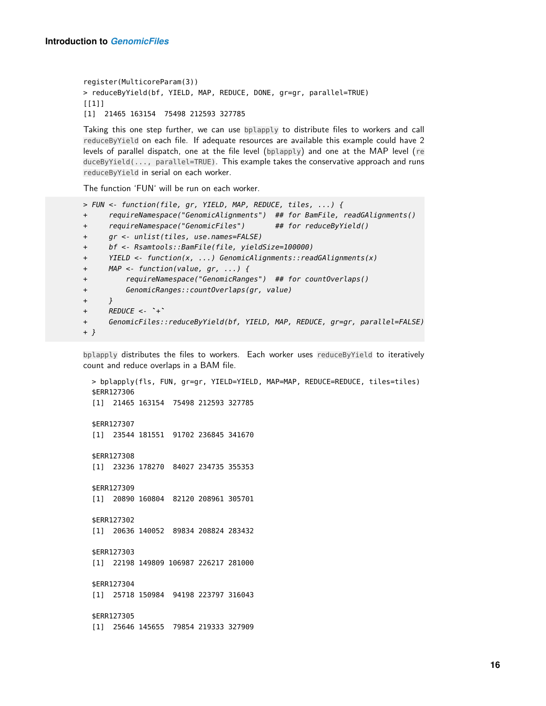register(MulticoreParam(3)) > reduceByYield(bf, YIELD, MAP, REDUCE, DONE, gr=gr, parallel=TRUE)  $[1]$ ] [1] 21465 163154 75498 212593 327785

Taking this one step further, we can use bplapply to distribute files to workers and call reduceByYield on each file. If adequate resources are available this example could have 2 levels of parallel dispatch, one at the file level (bplapply) and one at the MAP level (re duceByYield(..., parallel=TRUE). This example takes the conservative approach and runs reduceByYield in serial on each worker.

The function 'FUN' will be run on each worker.

```
> FUN <- function(file, gr, YIELD, MAP, REDUCE, tiles, ...) {
+ requireNamespace("GenomicAlignments") ## for BamFile, readGAlignments()
+ requireNamespace("GenomicFiles") ## for reduceByYield()
+ gr <- unlist(tiles, use.names=FALSE)
+ bf <- Rsamtools::BamFile(file, yieldSize=100000)
+ YIELD <- function(x, ...) GenomicAlignments::readGAlignments(x)
+ MAP <- function(value, gr, ...) {
+ requireNamespace("GenomicRanges") ## for countOverlaps()
+ GenomicRanges::countOverlaps(gr, value)
+ }
+ REDUCE \leq - ++ GenomicFiles::reduceByYield(bf, YIELD, MAP, REDUCE, gr=gr, parallel=FALSE)
+ }
```
bplapply distributes the files to workers. Each worker uses reduceByYield to iteratively count and reduce overlaps in a BAM file.

```
> bplapply(fls, FUN, gr=gr, YIELD=YIELD, MAP=MAP, REDUCE=REDUCE, tiles=tiles)
$ERR127306
[1] 21465 163154 75498 212593 327785
$ERR127307
[1] 23544 181551 91702 236845 341670
$ERR127308
[1] 23236 178270 84027 234735 355353
$ERR127309
[1] 20890 160804 82120 208961 305701
$ERR127302
[1] 20636 140052 89834 208824 283432
$ERR127303
[1] 22198 149809 106987 226217 281000
$ERR127304
[1] 25718 150984 94198 223797 316043
$ERR127305
[1] 25646 145655 79854 219333 327909
```